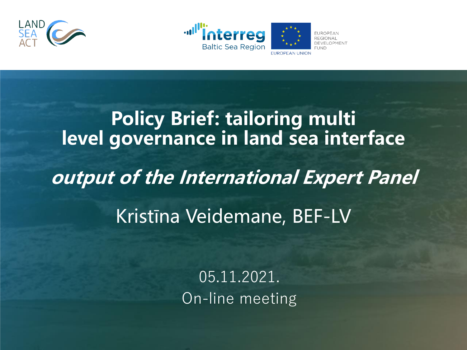



## **Policy Brief: tailoring multi level governance in land sea interface output of the International Expert Panel**  Kristīna Veidemane, BEF-LV

05.11.2021. On-line meeting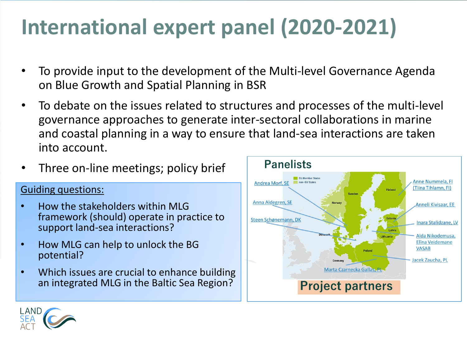#### **International expert panel (2020-2021)**

- To provide input to the development of the Multi-level Governance Agenda on Blue Growth and Spatial Planning in BSR
- To debate on the issues related to structures and processes of the multi-level governance approaches to generate inter-sectoral collaborations in marine and coastal planning in a way to ensure that land-sea interactions are taken into account.



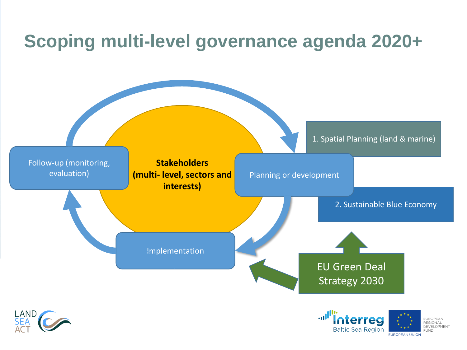#### **Scoping multi-level governance agenda 2020+**





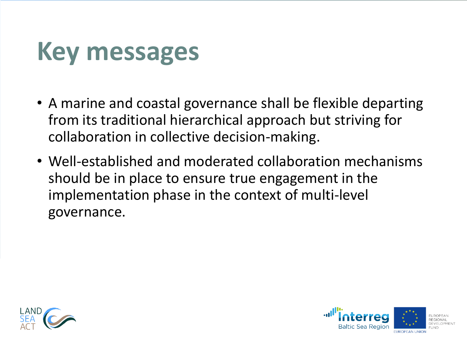#### **Key messages**

- A marine and coastal governance shall be flexible departing from its traditional hierarchical approach but striving for collaboration in collective decision-making.
- Well-established and moderated collaboration mechanisms should be in place to ensure true engagement in the implementation phase in the context of multi-level governance.



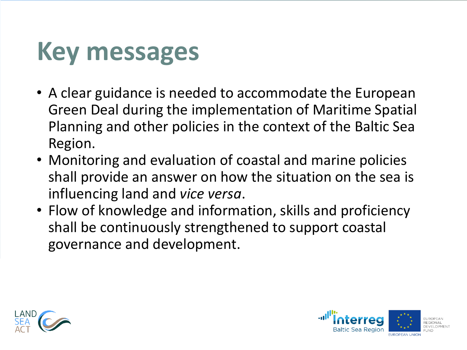## **Key messages**

- A clear guidance is needed to accommodate the European Green Deal during the implementation of Maritime Spatial Planning and other policies in the context of the Baltic Sea Region.
- Monitoring and evaluation of coastal and marine policies shall provide an answer on how the situation on the sea is influencing land and *vice versa*.
- Flow of knowledge and information, skills and proficiency shall be continuously strengthened to support coastal governance and development.